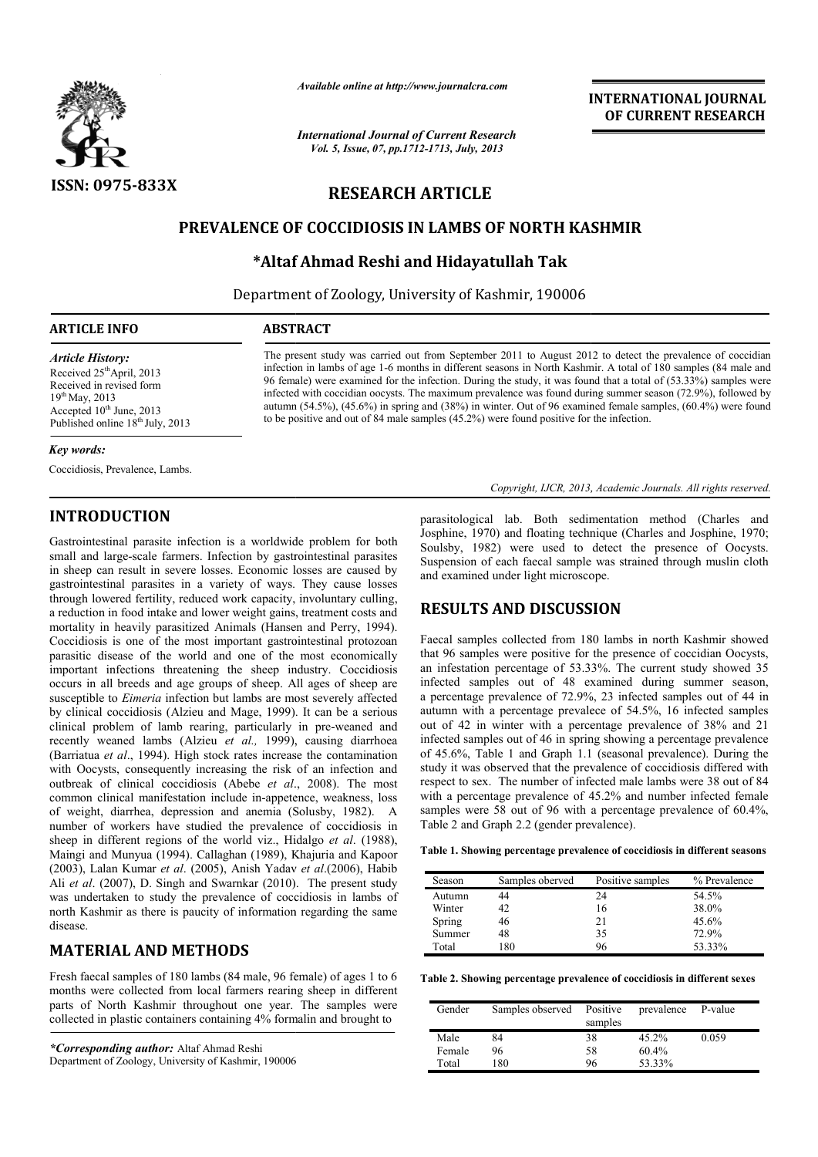

*Available online at http://www.journalcra.com*

*International Journal of Current Research Vol. 5, Issue, 07, pp.1712-1713, July, 2013*

INTERNATIONAL INTERNATIONAL JOURNAL OF CURRENT RESEARCH

# RESEARCH ARTICLE

## PREVALENCE OF COCCIDIOSIS IN LAMBS OF NORTH KASHMIR OF NORTH

## \*Altaf Ahmad Reshi and Hidayatullah Tak Altaf

Department of Zoology, University of Kashmir, 190006

| <b>ARTICLE INFO</b>                   | <b>ABSTRACT</b>                                                                                                  |  |  |
|---------------------------------------|------------------------------------------------------------------------------------------------------------------|--|--|
| <i><b>Article History:</b></i>        | The present study was carried out from September 2011 to August 2012 to detect the prevalence of coccidian       |  |  |
| Received 25 <sup>th</sup> April, 2013 | infection in lambs of age 1-6 months in different seasons in North Kashmir. A total of 180 samples (84 male and  |  |  |
| Received in revised form              | 96 female) were examined for the infection. During the study, it was found that a total of (53.33%) samples were |  |  |
| $19^{th}$ May, 2013                   | infected with coccidian oocysts. The maximum prevalence was found during summer season (72.9%), followed by      |  |  |
| Accepted $10th$ June, 2013            | autumn (54.5%), (45.6%) in spring and (38%) in winter. Out of 96 examined female samples, (60.4%) were found     |  |  |
| Published online $18th$ July, 2013    | to be positive and out of 84 male samples $(45.2\%)$ were found positive for the infection.                      |  |  |

#### *Key words:*

Coccidiosis, Prevalence, Lambs.

## INTRODUCTION

Gastrointestinal parasite infection is a worldwide problem for both small and large-scale farmers. Infection by gastrointestinal parasites in sheep can result in severe losses. Economic losses are caused by small and large-scale farmers. Infection by gastrointestinal parasites in sheep can result in severe losses. Economic losses are caused by gastrointestinal parasites in a variety of ways. They cause losses through lowered fertility, reduced work capacity, involuntary culling, a reduction in food intake and lower weight gains, treatment costs and mortality in heavily parasitized Animals (Hansen and Perry, 1994). Coccidiosis is one of the most important gastrointestinal protozoan parasitic disease of the world and one of the most economically important infections threatening the sheep industry. Coccidiosis occurs in all breeds and age groups of sheep. All ages of sheep are susceptible to *Eimeria* infection but lambs are most severely affected by clinical coccidiosis (Alzieu and Mage, 1999). It can be a serious clinical problem of lamb rearing, particularly in pre-weaned and recently weaned lambs (Alzieu *et al.,* 1999), causing diarrhoea (Barriatua *et al*., 1994). High stock rates increase the contamination with Oocysts, consequently increasing the risk of an infection and outbreak of clinical coccidiosis (Abebe *et al.*, 2008). The most common clinical manifestation include in-appetence, weakness, loss of weight, diarrhea, depression and anemia (Solusby, 1982). A number of workers have studied the prevalence of coccidiosis in sheep in different regions of the world viz., Hidalgo *et al*. (1988), Maingi and Munyua (1994). Callaghan (1989), Khajuria and Kapoor (2003), Lalan Kumar *et al*. (2005), Anish Yadav *et al*.(2006), Habib Ali *et al*. (2007), D. Singh and Swarnkar (2010). The present study was undertaken to study the prevalence of coccidiosis in lambs of north Kashmir as there is paucity of information regarding the same disease. t important gastrointestinal protozoan<br>l and one of the most economically<br>ing the sheep industry. Coccidiosis<br>roups of sheep. All ages of sheep are<br>n but lambs are most severely affected<br>and Mage, 1999). It can be a seriou lence of coccidiosis in lambs of<br>f information regarding the same<br>**DS**<br>84 male, 96 female) of ages 1 to 6<br>farmers rearing sheep in different

## MATERIAL AND METHODS

Fresh faecal samples of 180 lambs (84 male, 96 female) of ages 1 to 6 months were collected from local farmers rearing sheep in different parts of North Kashmir throughout one year. The samples were collected in plastic containers containing 4% formalin and brought to

*\*Corresponding author:* Altaf Ahmad Reshi Department of Zoology, University of Kashmir, 190006 parasitological lab. Both sedimentation method (Charles and Josphine, 1970) and floating technique (Charles and Josphine, 1970; Soulsby, 1982) were used to detect the presence of Oocysts. Suspension of each faecal sample was strained through muslin cloth and examined under light microscope. parasitological lab. Both sedimentation method (Charles and Josphine, 1970) and floating technique (Charles and Josphine, 1970; Soulsby, 1982) were used to detect the presence of Oocysts. Suspension of each faecal sample w

Copyright, IJCR, 2013, Academic Journals. All rights reserved.

## RESULTS AND DISCUSSION

Faecal samples collected from 180 lambs in north Kashmir showed that 96 samples were positive for the presence of coccidian Oocysts, an infestation percentage of 53.33%. The current study showed 35 infected samples out of 48 examined during summer season, a percentage prevalence of 72.9%, 23 infected samples out of 44 in autumn with a percentage prevalece of 54.5%, 16 infected samples out of 42 in winter with a percentage prevalence of 38% and 21 infected samples out of 46 in spring showing a percentage prevalence infected samples out of 46 in spring showing a percentage prevalence<br>of 45.6%, Table 1 and Graph 1.1 (seasonal prevalence). During the study it was observed that the prevalence of coccidiosis differed with respect to sex. The number of infected male lambs were 38 out of 84 with a percentage prevalence of 45.2% and number infected female samples were 58 out of 96 with a percentage prevalence of 60.4%. Table 2 and Graph 2.2 (gender prevalence). of 48 examined during summer season, ice of 72.9%, 23 infected samples out of 44 in tage prevalece of 54.5%, 16 infected samples with a percentage prevalence of 38% and 21 The number of infected male lambs were 38 out of 84 age prevalence of 45.2% and number infected female 58 out of 96 with a percentage prevalence of 60.4%,

Table 1. Showing percentage prevalence of coccidiosis in different seasons

| Season | Samples oberved | Positive samples | % Prevalence |
|--------|-----------------|------------------|--------------|
| Autumn | 44              | 24               | 54.5%        |
| Winter | 42              | 16               | 38.0%        |
| Spring | 46              | 21               | $45.6\%$     |
| Summer | 48              | 35               | 72.9%        |
| Total  | 180             | 96               | 53.33%       |

Table 2. Showing percentage prevalence of coccidiosis in different sexes

| Gender | Samples observed | Positive<br>samples | prevalence | P-value |
|--------|------------------|---------------------|------------|---------|
| Male   | 84               | 38                  | $45.2\%$   | 0.059   |
| Female | 96               | 58                  | 60.4%      |         |
| Total  | 180              | 96                  | 53.33%     |         |